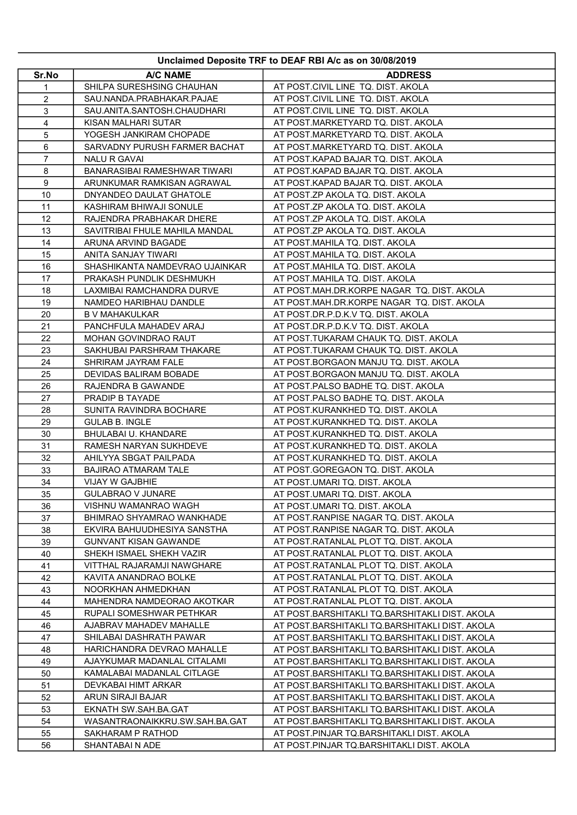| Unclaimed Deposite TRF to DEAF RBI A/c as on 30/08/2019 |                                                  |                                                                        |
|---------------------------------------------------------|--------------------------------------------------|------------------------------------------------------------------------|
| Sr.No                                                   | <b>A/C NAME</b>                                  | <b>ADDRESS</b>                                                         |
| 1                                                       | SHILPA SURESHSING CHAUHAN                        | AT POST.CIVIL LINE TQ. DIST. AKOLA                                     |
| 2                                                       | SAU.NANDA.PRABHAKAR.PAJAE                        | AT POST.CIVIL LINE TQ. DIST. AKOLA                                     |
| 3                                                       | SAU.ANITA.SANTOSH.CHAUDHARI                      | AT POST.CIVIL LINE TQ. DIST. AKOLA                                     |
| 4                                                       | KISAN MALHARI SUTAR                              | AT POST.MARKETYARD TQ. DIST. AKOLA                                     |
| 5                                                       | YOGESH JANKIRAM CHOPADE                          | AT POST.MARKETYARD TQ. DIST. AKOLA                                     |
| 6                                                       | SARVADNY PURUSH FARMER BACHAT                    | AT POST.MARKETYARD TQ. DIST. AKOLA                                     |
| $\overline{7}$                                          | <b>NALU R GAVAI</b>                              | AT POST.KAPAD BAJAR TQ. DIST. AKOLA                                    |
| 8                                                       | BANARASIBAI RAMESHWAR TIWARI                     | AT POST.KAPAD BAJAR TQ. DIST. AKOLA                                    |
| 9                                                       | ARUNKUMAR RAMKISAN AGRAWAL                       | AT POST.KAPAD BAJAR TQ. DIST. AKOLA                                    |
| 10                                                      | DNYANDEO DAULAT GHATOLE                          | AT POST.ZP AKOLA TQ. DIST. AKOLA                                       |
| 11                                                      | KASHIRAM BHIWAJI SONULE                          | AT POST.ZP AKOLA TQ. DIST. AKOLA                                       |
| 12                                                      | RAJENDRA PRABHAKAR DHERE                         | AT POST.ZP AKOLA TQ. DIST. AKOLA                                       |
| 13                                                      | SAVITRIBAI FHULE MAHILA MANDAL                   | AT POST.ZP AKOLA TQ. DIST. AKOLA                                       |
| 14                                                      | ARUNA ARVIND BAGADE                              | AT POST.MAHILA TQ. DIST. AKOLA                                         |
| 15                                                      | ANITA SANJAY TIWARI                              | AT POST.MAHILA TQ. DIST. AKOLA                                         |
| 16                                                      | SHASHIKANTA NAMDEVRAO UJAINKAR                   | AT POST.MAHILA TQ. DIST. AKOLA                                         |
| 17                                                      | PRAKASH PUNDLIK DESHMUKH                         | AT POST.MAHILA TQ. DIST. AKOLA                                         |
| 18                                                      | LAXMIBAI RAMCHANDRA DURVE                        | AT POST.MAH.DR.KORPE NAGAR TO, DIST, AKOLA                             |
| 19                                                      | NAMDEO HARIBHAU DANDLE                           | AT POST.MAH.DR.KORPE NAGAR TQ. DIST. AKOLA                             |
| 20                                                      | <b>B V MAHAKULKAR</b>                            | AT POST.DR.P.D.K.V TQ. DIST. AKOLA                                     |
| 21                                                      | PANCHFULA MAHADEV ARAJ                           | AT POST.DR.P.D.K.V TQ. DIST. AKOLA                                     |
| 22                                                      | MOHAN GOVINDRAO RAUT                             | AT POST.TUKARAM CHAUK TQ. DIST. AKOLA                                  |
| 23                                                      | SAKHUBAI PARSHRAM THAKARE                        | AT POST.TUKARAM CHAUK TQ. DIST. AKOLA                                  |
| 24                                                      | SHRIRAM JAYRAM FALE                              | AT POST.BORGAON MANJU TQ. DIST. AKOLA                                  |
| 25                                                      | DEVIDAS BALIRAM BOBADE                           | AT POST.BORGAON MANJU TQ. DIST. AKOLA                                  |
| 26                                                      | RAJENDRA B GAWANDE                               | AT POST.PALSO BADHE TQ. DIST. AKOLA                                    |
| 27                                                      | PRADIP B TAYADE                                  | AT POST.PALSO BADHE TQ. DIST. AKOLA                                    |
| 28                                                      | SUNITA RAVINDRA BOCHARE                          | AT POST.KURANKHED TQ. DIST. AKOLA                                      |
| 29                                                      | <b>GULAB B. INGLE</b>                            | AT POST.KURANKHED TQ. DIST. AKOLA                                      |
| 30                                                      | BHULABAI U. KHANDARE                             | AT POST.KURANKHED TQ. DIST. AKOLA                                      |
| 31<br>32                                                | RAMESH NARYAN SUKHDEVE<br>AHILYYA SBGAT PAILPADA | AT POST.KURANKHED TQ. DIST. AKOLA<br>AT POST.KURANKHED TQ. DIST. AKOLA |
| 33                                                      | BAJIRAO ATMARAM TALE                             | AT POST.GOREGAON TQ. DIST. AKOLA                                       |
| 34                                                      | <b>VIJAY W GAJBHIE</b>                           | AT POST.UMARI TQ. DIST. AKOLA                                          |
| 35                                                      | <b>GULABRAO V JUNARE</b>                         | AT POST.UMARI TQ. DIST. AKOLA                                          |
| 36                                                      | VISHNU WAMANRAO WAGH                             | AT POST.UMARI TO, DIST. AKOLA                                          |
| 37                                                      | BHIMRAO SHYAMRAO WANKHADE                        | AT POST.RANPISE NAGAR TQ. DIST. AKOLA                                  |
| 38                                                      | EKVIRA BAHUUDHESIYA SANSTHA                      | AT POST.RANPISE NAGAR TQ. DIST. AKOLA                                  |
| 39                                                      | <b>GUNVANT KISAN GAWANDE</b>                     | AT POST.RATANLAL PLOT TQ. DIST. AKOLA                                  |
| 40                                                      | SHEKH ISMAEL SHEKH VAZIR                         | AT POST.RATANLAL PLOT TQ. DIST. AKOLA                                  |
| 41                                                      | VITTHAL RAJARAMJI NAWGHARE                       | AT POST.RATANLAL PLOT TQ. DIST. AKOLA                                  |
| 42                                                      | KAVITA ANANDRAO BOLKE                            | AT POST.RATANLAL PLOT TQ. DIST. AKOLA                                  |
| 43                                                      | NOORKHAN AHMEDKHAN                               | AT POST.RATANLAL PLOT TQ. DIST. AKOLA                                  |
| 44                                                      | MAHENDRA NAMDEORAO AKOTKAR                       | AT POST.RATANLAL PLOT TQ. DIST. AKOLA                                  |
| 45                                                      | RUPALI SOMESHWAR PETHKAR                         | AT POST.BARSHITAKLI TQ.BARSHITAKLI DIST. AKOLA                         |
| 46                                                      | AJABRAV MAHADEV MAHALLE                          | AT POST.BARSHITAKLI TQ.BARSHITAKLI DIST. AKOLA                         |
| 47                                                      | SHILABAI DASHRATH PAWAR                          | AT POST.BARSHITAKLI TQ.BARSHITAKLI DIST. AKOLA                         |
| 48                                                      | HARICHANDRA DEVRAO MAHALLE                       | AT POST.BARSHITAKLI TQ.BARSHITAKLI DIST. AKOLA                         |
| 49                                                      | AJAYKUMAR MADANLAL CITALAMI                      | AT POST.BARSHITAKLI TQ.BARSHITAKLI DIST. AKOLA                         |
| 50                                                      | KAMALABAI MADANLAL CITLAGE                       | AT POST.BARSHITAKLI TQ.BARSHITAKLI DIST. AKOLA                         |
| 51                                                      | DEVKABAI HIMT ARKAR                              | AT POST.BARSHITAKLI TQ.BARSHITAKLI DIST. AKOLA                         |
| 52                                                      | ARUN SIRAJI BAJAR                                | AT POST.BARSHITAKLI TQ.BARSHITAKLI DIST. AKOLA                         |
| 53                                                      | EKNATH SW.SAH.BA.GAT                             | AT POST.BARSHITAKLI TQ.BARSHITAKLI DIST. AKOLA                         |
| 54                                                      | WASANTRAONAIKKRU.SW.SAH.BA.GAT                   | AT POST.BARSHITAKLI TQ.BARSHITAKLI DIST. AKOLA                         |
| 55                                                      | SAKHARAM P RATHOD                                | AT POST.PINJAR TQ.BARSHITAKLI DIST. AKOLA                              |
| 56                                                      | SHANTABAI N ADE                                  | AT POST.PINJAR TQ.BARSHITAKLI DIST. AKOLA                              |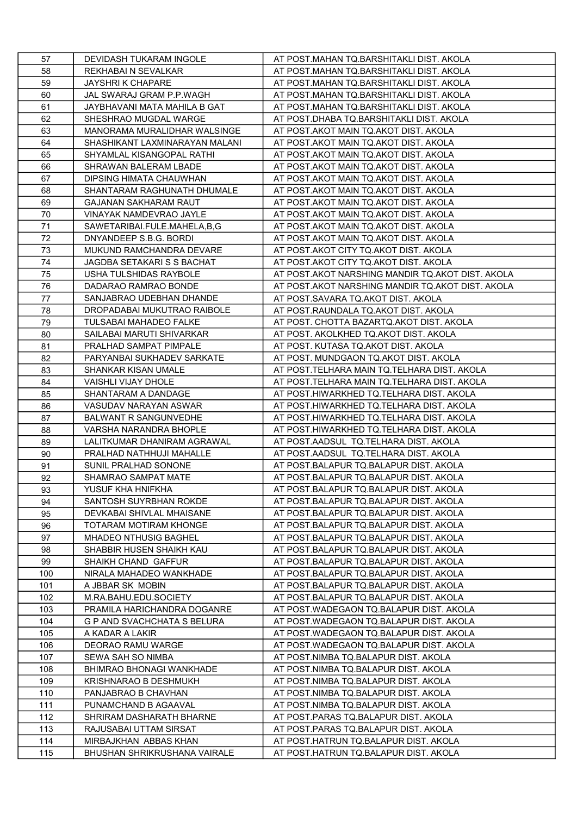| 57      | DEVIDASH TUKARAM INGOLE        | AT POST.MAHAN TQ.BARSHITAKLI DIST. AKOLA         |
|---------|--------------------------------|--------------------------------------------------|
| 58      | REKHABAI N SEVALKAR            | AT POST.MAHAN TQ.BARSHITAKLI DIST. AKOLA         |
| 59      | JAYSHRI K CHAPARE              | AT POST.MAHAN TQ.BARSHITAKLI DIST. AKOLA         |
| 60      | JAL SWARAJ GRAM P.P.WAGH       | AT POST.MAHAN TQ.BARSHITAKLI DIST. AKOLA         |
| 61      | JAYBHAVANI MATA MAHILA B GAT   | AT POST.MAHAN TQ.BARSHITAKLI DIST. AKOLA         |
| 62      | SHESHRAO MUGDAL WARGE          | AT POST.DHABA TQ.BARSHITAKLI DIST. AKOLA         |
| 63      | MANORAMA MURALIDHAR WALSINGE   | AT POST.AKOT MAIN TQ.AKOT DIST. AKOLA            |
| 64      | SHASHIKANT LAXMINARAYAN MALANI | AT POST.AKOT MAIN TQ.AKOT DIST. AKOLA            |
| 65      | SHYAMLAL KISANGOPAL RATHI      | AT POST.AKOT MAIN TQ.AKOT DIST. AKOLA            |
| 66      | SHRAWAN BALERAM LBADE          | AT POST.AKOT MAIN TQ.AKOT DIST. AKOLA            |
| 67      | DIPSING HIMATA CHAUWHAN        | AT POST.AKOT MAIN TQ.AKOT DIST. AKOLA            |
| 68      | SHANTARAM RAGHUNATH DHUMALE    | AT POST.AKOT MAIN TQ.AKOT DIST. AKOLA            |
| 69      | <b>GAJANAN SAKHARAM RAUT</b>   | AT POST.AKOT MAIN TQ.AKOT DIST. AKOLA            |
| 70      | VINAYAK NAMDEVRAO JAYLE        | AT POST.AKOT MAIN TQ.AKOT DIST. AKOLA            |
| 71      | SAWETARIBAI.FULE.MAHELA,B,G    | AT POST.AKOT MAIN TQ.AKOT DIST. AKOLA            |
| 72      | DNYANDEEP S.B.G. BORDI         | AT POST.AKOT MAIN TQ.AKOT DIST. AKOLA            |
| 73      | MUKUND RAMCHANDRA DEVARE       | AT POST.AKOT CITY TQ.AKOT DIST. AKOLA            |
| 74      | JAGDBA SETAKARI S S BACHAT     | AT POST.AKOT CITY TQ.AKOT DIST. AKOLA            |
| 75      | USHA TULSHIDAS RAYBOLE         | AT POST.AKOT NARSHING MANDIR TQ.AKOT DIST. AKOLA |
| 76      | DADARAO RAMRAO BONDE           | AT POST.AKOT NARSHING MANDIR TQ.AKOT DIST. AKOLA |
| $77 \,$ | SANJABRAO UDEBHAN DHANDE       | AT POST.SAVARA TQ.AKOT DIST. AKOLA               |
| 78      | DROPADABAI MUKUTRAO RAIBOLE    | AT POST.RAUNDALA TQ.AKOT DIST. AKOLA             |
| 79      | <b>TULSABAI MAHADEO FALKE</b>  | AT POST. CHOTTA BAZARTQ.AKOT DIST. AKOLA         |
| 80      | SAILABAI MARUTI SHIVARKAR      | AT POST. AKOLKHED TQ.AKOT DIST. AKOLA            |
| 81      | PRALHAD SAMPAT PIMPALE         | AT POST. KUTASA TQ.AKOT DIST. AKOLA              |
| 82      | PARYANBAI SUKHADEV SARKATE     | AT POST. MUNDGAON TQ.AKOT DIST. AKOLA            |
| 83      | SHANKAR KISAN UMALE            | AT POST. TELHARA MAIN TQ. TELHARA DIST. AKOLA    |
| 84      | <b>VAISHLI VIJAY DHOLE</b>     | AT POST.TELHARA MAIN TQ.TELHARA DIST. AKOLA      |
| 85      | SHANTARAM A DANDAGE            | AT POST.HIWARKHED TQ.TELHARA DIST. AKOLA         |
| 86      | VASUDAV NARAYAN ASWAR          | AT POST.HIWARKHED TQ.TELHARA DIST. AKOLA         |
| 87      | <b>BALWANT R SANGUNVEDHE</b>   | AT POST.HIWARKHED TQ.TELHARA DIST. AKOLA         |
| 88      | VARSHA NARANDRA BHOPLE         | AT POST.HIWARKHED TQ.TELHARA DIST. AKOLA         |
| 89      | LALITKUMAR DHANIRAM AGRAWAL    | AT POST.AADSUL TQ.TELHARA DIST. AKOLA            |
| 90      | PRALHAD NATHHUJI MAHALLE       | AT POST.AADSUL TQ.TELHARA DIST. AKOLA            |
| 91      | SUNIL PRALHAD SONONE           | AT POST.BALAPUR TQ.BALAPUR DIST. AKOLA           |
| 92      | SHAMRAO SAMPAT MATE            | AT POST.BALAPUR TQ.BALAPUR DIST. AKOLA           |
| 93      | YUSUF KHA HNIFKHA              | AT POST.BALAPUR TQ.BALAPUR DIST. AKOLA           |
| 94      | SANTOSH SUYRBHAN ROKDE         | AT POST.BALAPUR TQ.BALAPUR DIST. AKOLA           |
| 95      | DEVKABAI SHIVLAL MHAISANE      | AT POST.BALAPUR TQ.BALAPUR DIST. AKOLA           |
| 96      | TOTARAM MOTIRAM KHONGE         | AT POST BALAPUR TQ BALAPUR DIST. AKOLA           |
| 97      | <b>MHADEO NTHUSIG BAGHEL</b>   | AT POST BALAPUR TO BALAPUR DIST. AKOLA           |
| 98      | SHABBIR HUSEN SHAIKH KAU       | AT POST.BALAPUR TQ.BALAPUR DIST. AKOLA           |
| 99      | SHAIKH CHAND GAFFUR            | AT POST.BALAPUR TQ.BALAPUR DIST. AKOLA           |
| 100     | NIRALA MAHADEO WANKHADE        | AT POST BALAPUR TQ BALAPUR DIST. AKOLA           |
| 101     | A JBBAR SK MOBIN               | AT POST.BALAPUR TQ.BALAPUR DIST. AKOLA           |
| 102     | M.RA.BAHU.EDU.SOCIETY          | AT POST BALAPUR TO BALAPUR DIST. AKOLA           |
| 103     | PRAMILA HARICHANDRA DOGANRE    | AT POST.WADEGAON TQ.BALAPUR DIST. AKOLA          |
| 104     | G P AND SVACHCHATA S BELURA    | AT POST.WADEGAON TQ.BALAPUR DIST. AKOLA          |
| 105     | A KADAR A LAKIR                | AT POST.WADEGAON TQ.BALAPUR DIST. AKOLA          |
| 106     | <b>DEORAO RAMU WARGE</b>       | AT POST.WADEGAON TQ.BALAPUR DIST. AKOLA          |
| 107     | SEWA SAH SO NIMBA              | AT POST.NIMBA TQ.BALAPUR DIST. AKOLA             |
| 108     | BHIMRAO BHONAGI WANKHADE       | AT POST.NIMBA TQ.BALAPUR DIST. AKOLA             |
| 109     | KRISHNARAO B DESHMUKH          | AT POST.NIMBA TQ.BALAPUR DIST. AKOLA             |
| 110     | PANJABRAO B CHAVHAN            | AT POST.NIMBA TQ.BALAPUR DIST. AKOLA             |
| 111     | PUNAMCHAND B AGAAVAL           | AT POST.NIMBA TQ.BALAPUR DIST. AKOLA             |
| 112     | SHRIRAM DASHARATH BHARNE       | AT POST.PARAS TQ.BALAPUR DIST. AKOLA             |
| 113     | RAJUSABAI UTTAM SIRSAT         | AT POST PARAS TO BALAPUR DIST. AKOLA             |
| 114     | MIRBAJKHAN ABBAS KHAN          | AT POST.HATRUN TQ.BALAPUR DIST. AKOLA            |
| 115     | BHUSHAN SHRIKRUSHANA VAIRALE   | AT POST.HATRUN TQ.BALAPUR DIST. AKOLA            |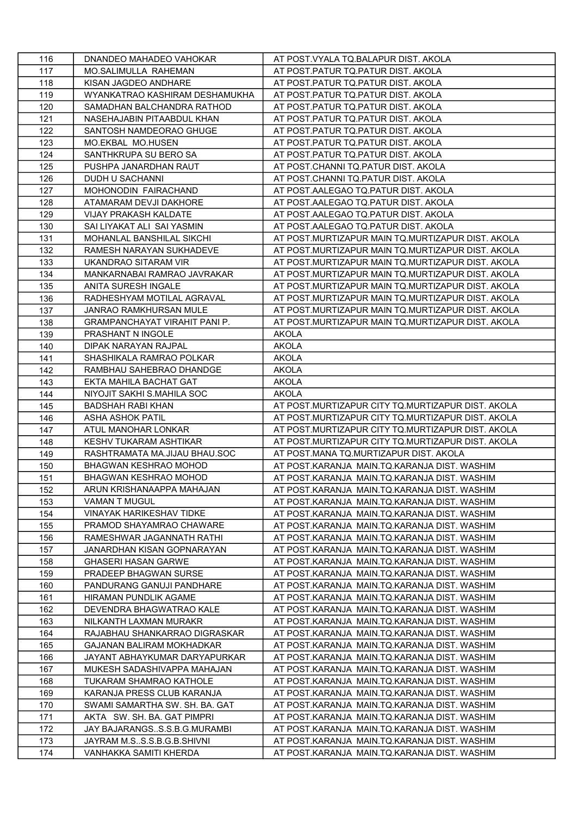| 116 | DNANDEO MAHADEO VAHOKAR              | AT POST. VYALA TQ. BALAPUR DIST. AKOLA            |
|-----|--------------------------------------|---------------------------------------------------|
| 117 | MO.SALIMULLA RAHEMAN                 | AT POST. PATUR TQ. PATUR DIST. AKOLA              |
| 118 | KISAN JAGDEO ANDHARE                 | AT POST. PATUR TO. PATUR DIST. AKOLA              |
| 119 | WYANKATRAO KASHIRAM DESHAMUKHA       | AT POST.PATUR TQ.PATUR DIST. AKOLA                |
| 120 | SAMADHAN BALCHANDRA RATHOD           | AT POST.PATUR TQ.PATUR DIST. AKOLA                |
| 121 | NASEHAJABIN PITAABDUL KHAN           | AT POST PATUR TO PATUR DIST. AKOLA                |
| 122 | SANTOSH NAMDEORAO GHUGE              | AT POST PATUR TO PATUR DIST. AKOLA                |
| 123 | MO.EKBAL MO.HUSEN                    | AT POST PATUR TO PATUR DIST. AKOLA                |
| 124 | SANTHKRUPA SU BERO SA                | AT POST.PATUR TQ.PATUR DIST. AKOLA                |
| 125 | PUSHPA JANARDHAN RAUT                | AT POST.CHANNI TQ.PATUR DIST. AKOLA               |
| 126 | <b>DUDH U SACHANNI</b>               | AT POST.CHANNI TQ.PATUR DIST. AKOLA               |
| 127 | MOHONODIN FAIRACHAND                 | AT POST AALEGAO TQ PATUR DIST. AKOLA              |
| 128 | ATAMARAM DEVJI DAKHORE               | AT POST.AALEGAO TQ.PATUR DIST. AKOLA              |
| 129 | <b>VIJAY PRAKASH KALDATE</b>         | AT POST.AALEGAO TQ.PATUR DIST. AKOLA              |
| 130 | SAI LIYAKAT ALI SAI YASMIN           | AT POST.AALEGAO TQ.PATUR DIST. AKOLA              |
| 131 | MOHANLAL BANSHILAL SIKCHI            | AT POST.MURTIZAPUR MAIN TQ.MURTIZAPUR DIST. AKOLA |
| 132 | RAMESH NARAYAN SUKHADEVE             | AT POST.MURTIZAPUR MAIN TQ.MURTIZAPUR DIST. AKOLA |
| 133 | UKANDRAO SITARAM VIR                 | AT POST.MURTIZAPUR MAIN TQ.MURTIZAPUR DIST. AKOLA |
| 134 | MANKARNABAI RAMRAO JAVRAKAR          | AT POST.MURTIZAPUR MAIN TQ.MURTIZAPUR DIST. AKOLA |
| 135 | ANITA SURESH INGALE                  | AT POST.MURTIZAPUR MAIN TQ.MURTIZAPUR DIST. AKOLA |
| 136 | RADHESHYAM MOTILAL AGRAVAL           | AT POST MURTIZAPUR MAIN TO MURTIZAPUR DIST. AKOLA |
| 137 | <b>JANRAO RAMKHURSAN MULE</b>        | AT POST.MURTIZAPUR MAIN TQ.MURTIZAPUR DIST. AKOLA |
| 138 | <b>GRAMPANCHAYAT VIRAHIT PANI P.</b> | AT POST.MURTIZAPUR MAIN TQ.MURTIZAPUR DIST. AKOLA |
| 139 | PRASHANT N INGOLE                    | <b>AKOLA</b>                                      |
| 140 | DIPAK NARAYAN RAJPAL                 | <b>AKOLA</b>                                      |
| 141 | SHASHIKALA RAMRAO POLKAR             | <b>AKOLA</b>                                      |
| 142 | RAMBHAU SAHEBRAO DHANDGE             | <b>AKOLA</b>                                      |
| 143 | EKTA MAHILA BACHAT GAT               | <b>AKOLA</b>                                      |
| 144 | NIYOJIT SAKHI S.MAHILA SOC           | <b>AKOLA</b>                                      |
| 145 | BADSHAH RABI KHAN                    | AT POST.MURTIZAPUR CITY TQ.MURTIZAPUR DIST. AKOLA |
| 146 | <b>ASHA ASHOK PATIL</b>              | AT POST.MURTIZAPUR CITY TO.MURTIZAPUR DIST. AKOLA |
| 147 | ATUL MANOHAR LONKAR                  | AT POST.MURTIZAPUR CITY TQ.MURTIZAPUR DIST. AKOLA |
| 148 | KESHV TUKARAM ASHTIKAR               | AT POST.MURTIZAPUR CITY TO.MURTIZAPUR DIST. AKOLA |
| 149 | RASHTRAMATA MA.JIJAU BHAU.SOC        | AT POST MANA TO MURTIZAPUR DIST. AKOLA            |
| 150 | <b>BHAGWAN KESHRAO MOHOD</b>         | AT POST.KARANJA MAIN.TQ.KARANJA DIST. WASHIM      |
| 151 | BHAGWAN KESHRAO MOHOD                | AT POST.KARANJA MAIN.TQ.KARANJA DIST. WASHIM      |
| 152 | ARUN KRISHANAAPPA MAHAJAN            | AT POST.KARANJA MAIN.TQ.KARANJA DIST. WASHIM      |
| 153 | VAMAN T MUGUL                        | AT POST.KARANJA MAIN.TQ.KARANJA DIST. WASHIM      |
| 154 | VINAYAK HARIKESHAV TIDKE             | AT POST.KARANJA MAIN.TQ.KARANJA DIST. WASHIM      |
| 155 | PRAMOD SHAYAMRAO CHAWARE             | AT POST.KARANJA MAIN.TQ.KARANJA DIST. WASHIM      |
| 156 | RAMESHWAR JAGANNATH RATHI            | AT POST.KARANJA MAIN.TQ.KARANJA DIST. WASHIM      |
| 157 | JANARDHAN KISAN GOPNARAYAN           | AT POST.KARANJA MAIN.TQ.KARANJA DIST. WASHIM      |
| 158 | <b>GHASERI HASAN GARWE</b>           | AT POST.KARANJA MAIN.TQ.KARANJA DIST. WASHIM      |
| 159 | PRADEEP BHAGWAN SURSE                | AT POST.KARANJA MAIN.TQ.KARANJA DIST. WASHIM      |
| 160 | PANDURANG GANUJI PANDHARE            | AT POST KARANJA MAIN TO KARANJA DIST. WASHIM      |
| 161 | HIRAMAN PUNDLIK AGAME                | AT POST.KARANJA MAIN.TQ.KARANJA DIST. WASHIM      |
| 162 | DEVENDRA BHAGWATRAO KALE             | AT POST.KARANJA MAIN.TQ.KARANJA DIST. WASHIM      |
| 163 | NILKANTH LAXMAN MURAKR               | AT POST.KARANJA MAIN.TQ.KARANJA DIST. WASHIM      |
| 164 | RAJABHAU SHANKARRAO DIGRASKAR        | AT POST.KARANJA MAIN.TQ.KARANJA DIST. WASHIM      |
| 165 | GAJANAN BALIRAM MOKHADKAR            | AT POST.KARANJA MAIN.TQ.KARANJA DIST. WASHIM      |
| 166 | JAYANT ABHAYKUMAR DARYAPURKAR        | AT POST.KARANJA MAIN.TQ.KARANJA DIST. WASHIM      |
| 167 | MUKESH SADASHIVAPPA MAHAJAN          | AT POST.KARANJA MAIN.TQ.KARANJA DIST. WASHIM      |
| 168 | TUKARAM SHAMRAO KATHOLE              | AT POST.KARANJA MAIN.TQ.KARANJA DIST. WASHIM      |
| 169 | KARANJA PRESS CLUB KARANJA           | AT POST.KARANJA MAIN.TQ.KARANJA DIST. WASHIM      |
| 170 | SWAMI SAMARTHA SW. SH. BA. GAT       | AT POST.KARANJA MAIN.TQ.KARANJA DIST. WASHIM      |
| 171 | AKTA SW. SH. BA. GAT PIMPRI          | AT POST.KARANJA MAIN.TQ.KARANJA DIST. WASHIM      |
| 172 | JAY BAJARANGSS.S.B.G.MURAMBI         | AT POST.KARANJA MAIN.TQ.KARANJA DIST. WASHIM      |
| 173 | JAYRAM M.SS.S.B.G.B.SHIVNI           | AT POST.KARANJA MAIN.TQ.KARANJA DIST. WASHIM      |
| 174 | VANHAKKA SAMITI KHERDA               | AT POST.KARANJA MAIN.TQ.KARANJA DIST. WASHIM      |
|     |                                      |                                                   |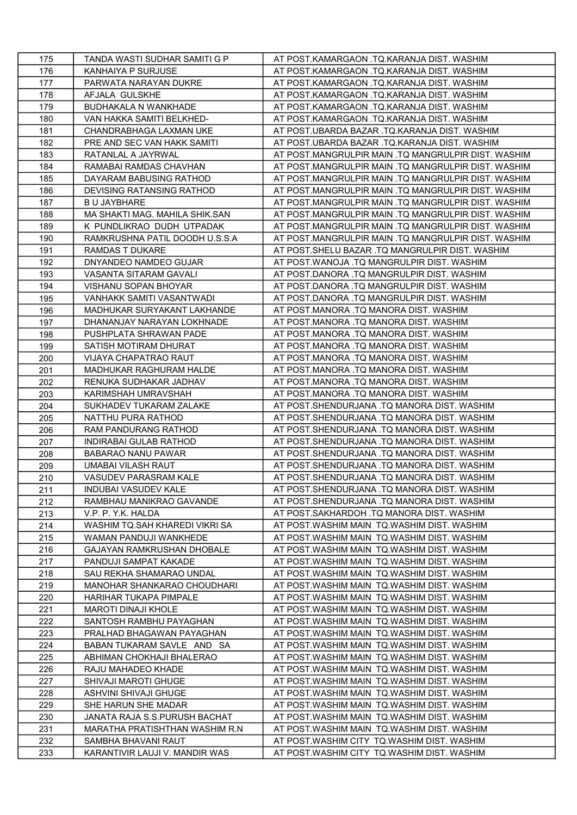| 175 | TANDA WASTI SUDHAR SAMITI G P     | AT POST.KAMARGAON .TQ.KARANJA DIST. WASHIM          |
|-----|-----------------------------------|-----------------------------------------------------|
| 176 | <b>KANHAIYA P SURJUSE</b>         | AT POST.KAMARGAON .TQ.KARANJA DIST. WASHIM          |
| 177 | PARWATA NARAYAN DUKRE             | AT POST.KAMARGAON .TQ.KARANJA DIST. WASHIM          |
| 178 | AFJALA GULSKHE                    | AT POST.KAMARGAON .TQ.KARANJA DIST. WASHIM          |
| 179 | BUDHAKALA N WANKHADE              | AT POST.KAMARGAON .TQ.KARANJA DIST. WASHIM          |
| 180 | VAN HAKKA SAMITI BELKHED-         | AT POST.KAMARGAON .TQ.KARANJA DIST. WASHIM          |
| 181 | CHANDRABHAGA LAXMAN UKE           | AT POST.UBARDA BAZAR .TQ.KARANJA DIST. WASHIM       |
| 182 | PRE AND SEC VAN HAKK SAMITI       | AT POST.UBARDA BAZAR .TQ.KARANJA DIST. WASHIM       |
| 183 | RATANLAL A JAYRWAL                | AT POST.MANGRULPIR MAIN .TQ MANGRULPIR DIST. WASHIM |
| 184 | RAMABAI RAMDAS CHAVHAN            | AT POST.MANGRULPIR MAIN .TQ MANGRULPIR DIST. WASHIM |
| 185 | DAYARAM BABUSING RATHOD           | AT POST.MANGRULPIR MAIN .TO MANGRULPIR DIST. WASHIM |
| 186 | DEVISING RATANSING RATHOD         | AT POST.MANGRULPIR MAIN .TQ MANGRULPIR DIST. WASHIM |
| 187 | B U JAYBHARE                      | AT POST.MANGRULPIR MAIN .TQ MANGRULPIR DIST. WASHIM |
| 188 | MA SHAKTI MAG. MAHILA SHIK.SAN    | AT POST.MANGRULPIR MAIN .TQ MANGRULPIR DIST. WASHIM |
| 189 | K PUNDLIKRAO DUDH UTPADAK         | AT POST.MANGRULPIR MAIN .TQ MANGRULPIR DIST. WASHIM |
| 190 | RAMKRUSHNA PATIL DOODH U.S.S.A    | AT POST.MANGRULPIR MAIN .TQ MANGRULPIR DIST. WASHIM |
| 191 | <b>RAMDAS T DUKARE</b>            | AT POST. SHELU BAZAR .TQ MANGRULPIR DIST. WASHIM    |
| 192 | DNYANDEO NAMDEO GUJAR             | AT POST.WANOJA .TQ MANGRULPIR DIST. WASHIM          |
| 193 | VASANTA SITARAM GAVALI            | AT POST.DANORA .TQ MANGRULPIR DIST. WASHIM          |
| 194 | <b>VISHANU SOPAN BHOYAR</b>       | AT POST.DANORA .TQ MANGRULPIR DIST. WASHIM          |
| 195 | VANHAKK SAMITI VASANTWADI         | AT POST.DANORA .TQ MANGRULPIR DIST. WASHIM          |
| 196 | MADHUKAR SURYAKANT LAKHANDE       | AT POST MANORA .TQ MANORA DIST. WASHIM              |
| 197 | DHANANJAY NARAYAN LOKHNADE        | AT POST MANORA .TQ MANORA DIST. WASHIM              |
| 198 | PUSHPLATA SHRAWAN PADE            | AT POST MANORA .TQ MANORA DIST. WASHIM              |
| 199 | SATISH MOTIRAM DHURAT             | AT POST.MANORA .TQ MANORA DIST. WASHIM              |
| 200 | VIJAYA CHAPATRAO RAUT             | AT POST.MANORA .TQ MANORA DIST. WASHIM              |
| 201 | MADHUKAR RAGHURAM HALDE           | AT POST.MANORA .TQ MANORA DIST. WASHIM              |
| 202 | RENUKA SUDHAKAR JADHAV            | AT POST.MANORA .TQ MANORA DIST. WASHIM              |
| 203 | KARIMSHAH UMRAVSHAH               | AT POST.MANORA .TQ MANORA DIST. WASHIM              |
| 204 | SUKHADEV TUKARAM ZALAKE           | AT POST.SHENDURJANA .TQ MANORA DIST. WASHIM         |
| 205 | NATTHU PURA RATHOD                | AT POST.SHENDURJANA .TQ MANORA DIST. WASHIM         |
| 206 | RAM PANDURANG RATHOD              | AT POST.SHENDURJANA .TQ MANORA DIST. WASHIM         |
| 207 | <b>INDIRABAI GULAB RATHOD</b>     | AT POST.SHENDURJANA .TQ MANORA DIST. WASHIM         |
| 208 | <b>BABARAO NANU PAWAR</b>         | AT POST.SHENDURJANA .TQ MANORA DIST. WASHIM         |
| 209 | UMABAI VILASH RAUT                | AT POST.SHENDURJANA .TQ MANORA DIST. WASHIM         |
| 210 | VASUDEV PARASRAM KALE             | AT POST.SHENDURJANA .TQ MANORA DIST. WASHIM         |
| 211 | INDUBAI VASUDEV KALE              | AT POST.SHENDURJANA .TQ MANORA DIST. WASHIM         |
| 212 | RAMBHAU MANIKRAO GAVANDE          | AT POST.SHENDURJANA .TQ MANORA DIST. WASHIM         |
| 213 | V.P. P. Y.K. HALDA                | AT POST.SAKHARDOH .TQ MANORA DIST. WASHIM           |
| 214 | WASHIM TQ.SAH KHAREDI VIKRI SA    | AT POST.WASHIM MAIN TQ.WASHIM DIST. WASHIM          |
| 215 | WAMAN PANDUJI WANKHEDE            | AT POST.WASHIM MAIN TQ.WASHIM DIST. WASHIM          |
| 216 | <b>GAJAYAN RAMKRUSHAN DHOBALE</b> | AT POST.WASHIM MAIN TQ.WASHIM DIST. WASHIM          |
| 217 | PANDUJI SAMPAT KAKADE             | AT POST. WASHIM MAIN TO. WASHIM DIST. WASHIM        |
| 218 | SAU REKHA SHAMARAO UNDAL          | AT POST.WASHIM MAIN TQ.WASHIM DIST. WASHIM          |
| 219 | MANOHAR SHANKARAO CHOUDHARI       | AT POST.WASHIM MAIN TQ.WASHIM DIST. WASHIM          |
| 220 | HARIHAR TUKAPA PIMPALE            | AT POST.WASHIM MAIN TQ.WASHIM DIST. WASHIM          |
| 221 | MAROTI DINAJI KHOLE               | AT POST.WASHIM MAIN TO.WASHIM DIST. WASHIM          |
| 222 | SANTOSH RAMBHU PAYAGHAN           | AT POST.WASHIM MAIN TQ.WASHIM DIST. WASHIM          |
| 223 | PRALHAD BHAGAWAN PAYAGHAN         | AT POST.WASHIM MAIN TQ.WASHIM DIST. WASHIM          |
| 224 | BABAN TUKARAM SAVLE AND SA        | AT POST.WASHIM MAIN TQ.WASHIM DIST. WASHIM          |
| 225 | ABHIMAN CHOKHAJI BHALERAO         | AT POST.WASHIM MAIN TQ.WASHIM DIST. WASHIM          |
| 226 | RAJU MAHADEO KHADE                | AT POST.WASHIM MAIN TQ.WASHIM DIST. WASHIM          |
| 227 | SHIVAJI MAROTI GHUGE              | AT POST.WASHIM MAIN TQ.WASHIM DIST. WASHIM          |
| 228 | ASHVINI SHIVAJI GHUGE             | AT POST.WASHIM MAIN TQ.WASHIM DIST. WASHIM          |
| 229 | SHE HARUN SHE MADAR               | AT POST.WASHIM MAIN TQ.WASHIM DIST. WASHIM          |
| 230 | JANATA RAJA S.S. PURUSH BACHAT    | AT POST.WASHIM MAIN TQ.WASHIM DIST. WASHIM          |
| 231 | MARATHA PRATISHTHAN WASHIM R.N    | AT POST.WASHIM MAIN TQ.WASHIM DIST. WASHIM          |
| 232 | SAMBHA BHAVANI RAUT               | AT POST.WASHIM CITY TQ.WASHIM DIST. WASHIM          |
| 233 | KARANTIVIR LAUJI V. MANDIR WAS    | AT POST. WASHIM CITY TO. WASHIM DIST. WASHIM        |